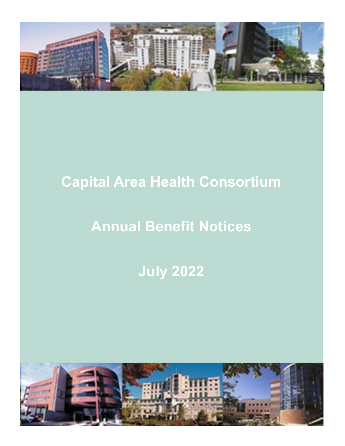

# **Capital Area Health Consortium**

## **Annual Benefit Notices**

# **July 2022**

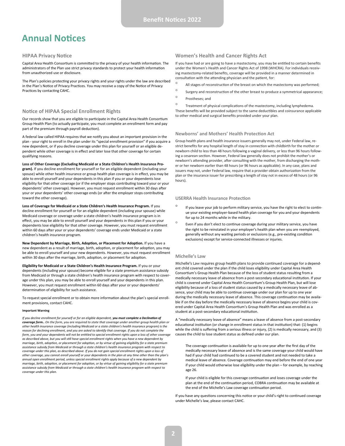### **Annual NoƟces**

#### **HIPAA Privacy NoƟce**

Capital Area Health Consortium is committed to the privacy of your health information. The administrators of the Plan use strict privacy standards to protect your health information from unauthorized use or disclosure.

The Plan's policies protecting your privacy rights and your rights under the law are described in the Plan's Notice of Privacy Practices. You may receive a copy of the Notice of Privacy Practices by contacting CAHC.

#### **NoƟce of HIPAA Special Enrollment Rights**

Our records show that you are eligible to participate in the Capital Area Health Consortium Group Health Plan (to actually participate, you must complete an enrollment form and pay part of the premium through payroll deduction).

A federal law called HIPAA requires that we notify you about an important provision in the plan ‐ your right to enroll in the plan under its "special enrollment provision" if you acquire a new dependent, or if you decline coverage under this plan for yourself or an eligible de‐ pendent while other coverage is in effect and later lose that other coverage for certain qualifying reasons.

#### **Loss of Other Coverage (Excluding Medicaid or a State Children's Health Insurance Pro-**

**gram).** If you decline enrollment for yourself or for an eligible dependent (including your spouse) while other health insurance or group health plan coverage is in effect, you may be able to enroll yourself and your dependents in this plan if you or your dependents lose eligibility for that other coverage (or if the employer stops contributing toward your or your dependents' other coverage). However, you must request enrollment within 30 days after your or your dependents' other coverage ends (or after the employer stops contributing toward the other coverage).

**Loss of Coverage for Medicaid or a State Children's Health Insurance Program.** If you decline enrollment for yourself or for an eligible dependent (including your spouse) while Medicaid coverage or coverage under a state children's health insurance program is in effect, you may be able to enroll yourself and your dependents in this plan if you or your dependents lose eligibility for that other coverage. However, you must request enrollment within 60 days after your or your dependents' coverage ends under Medicaid or a state children's health insurance program.

**New Dependent by Marriage, Birth, AdopƟon, or Placement for AdopƟon.** If you have a new dependent as a result of marriage, birth, adoption, or placement for adoption, you may be able to enroll yourself and your new dependents. However, you must request enrollment within 30 days after the marriage, birth, adoption, or placement for adoption.

**Eligibility for Medicaid or a State Children's Health Insurance Program.** If you or your dependents (including your spouse) become eligible for a state premium assistance subsidy from Medicaid or through a state children's health insurance program with respect to coverage under this plan, you may be able to enroll yourself and your dependents in this plan. However, you must request enrollment within 60 days after your or your dependents' determination of eligibility for such assistance.

To request special enrollment or to obtain more information about the plan's special enrollment provisions, contact CAHC.

#### **Important Warning**

*If you decline enrollment for yourself or for an eligible dependent, you must complete a Declination of coverage form.. On the form, you are required to state that coverage under another group health plan or other health insurance coverage (including Medicaid or a state children's health insurance program) is the reason for declining enrollment, and you are asked to identify that coverage. If you do not complete the* form, you and your dependents will not be entitled to special enrollment rights upon a loss of other coverage *as described above, but you will sƟll have special enrollment rights when you have a new dependent by marriage, birth, adopƟon, or placement for adopƟon, or by virtue of gaining eligibility for a state premium assistance subsidy from Medicaid or through a state children's health insurance program with respect to coverage under this plan, as described above. If you do not gain special enrollment rights upon a loss of other coverage, you cannot enroll yourself or your dependents in the plan at any time other than the plan's annual open enrollment period, unless special enrollment rights apply because of a new dependent by marriage, birth, adopƟon, or placement for adopƟon, or by virtue of gaining eligibility for a state premium assistance subsidy from Medicaid or through a state children's health insurance program with respect to coverage under this plan.* 

#### **Women's Health and Cancer Rights Act**

If you have had or are going to have a mastectomy, you may be entitled to certain benefits under the Women's Health and Cancer Rights Act of 1998 (WHCRA). For individuals receiving mastectomy-related benefits, coverage will be provided in a manner determined in consultation with the attending physician and the patient, for:

- $\degree$  All stages of reconstruction of the breast on which the mastectomy was performed;
- $\degree$  Surgery and reconstruction of the other breast to produce a symmetrical appearance;
- Prostheses; and

<sup>o</sup> Treatment of physical complications of the mastectomy, including lymphedema. These benefits will be provided subject to the same deductibles and coinsurance applicable to other medical and surgical benefits provided under your plan.

#### **Newborns' and Mothers' Health ProtecƟon Act**

Group health plans and health insurance issuers generally may not, under Federal law, re‐ strict benefits for any hospital length of stay in connection with childbirth for the mother or newborn child to less than 48 hours following a vaginal delivery, or less than 96 hours follow‐ ing a cesarean section. However, Federal law generally does not prohibit the mother's or newborn's attending provider, after consulting with the mother, from discharging the mother or her newborn earlier than 48 hours (or 96 hours as applicable). In any case, plans and issuers may not, under Federal law, require that a provider obtain authorization from the plan or the insurance issuer for prescribing a length of stay not in excess of 48 hours (or 96 hours).

#### **USERRA Health Insurance Protection**

- <sup>o</sup> If you leave your job to perform military service, you have the right to elect to continue your existing employer-based health plan coverage for you and your dependents for up to 24 months while in the military.
- Even if you don't elect to continue coverage during your military service, you have the right to be reinstated in your employer's health plan when you are reemployed, generally without any waiting periods or exclusions (e.g., pre-existing condition exclusions) except for service‐connected illnesses or injuries.

#### **Michelle's Law**

Michelle's Law requires group health plans to provide continued coverage for a depend‐ ent child covered under the plan if the child loses eligibility under Capital Area Health Consortium's Group Health Plan because of the loss of student status resulting from a medically necessary leave of absence from a post-secondary educational institution. If your child is covered under Capital Area Health Consortium's Group Health Plan, but will lose eligibility because of a loss of student status caused by a medically necessary leave of ab‐ sence, your child may be able to continue coverage under our plan for up to one year during the medically necessary leave of absence. This coverage continuation may be available if on the day before the medically necessary leave of absence begins your child is covered under Capital Area Health Consortium's Group Health Plan and was enrolled as a student at a post-secondary educational institution.

A "medically necessary leave of absence" means a leave of absence from a post‐secondary educational institution (or change in enrollment status in that institution) that: (1) begins while the child is suffering from a serious illness or injury, (2) is medically necessary, and (3) causes the child to lose student status as defined under our plan.

The coverage continuation is available for up to one year after the first day of the medically necessary leave of absence and is the same coverage your child would have had if your child had continued to be a covered student and not needed to take a medical leave of absence. Coverage continuation may end before the end of one year if your child would otherwise lose eligibility under the plan – for example, by reaching age 26.

If your child is eligible for this coverage continuation and loses coverage under the plan at the end of the continuation period, COBRA continuation may be available at the end of the Michelle's Law coverage continuation period.

If you have any questions concerning this notice or your child's right to continued coverage under Michelle's law, please contact CAHC.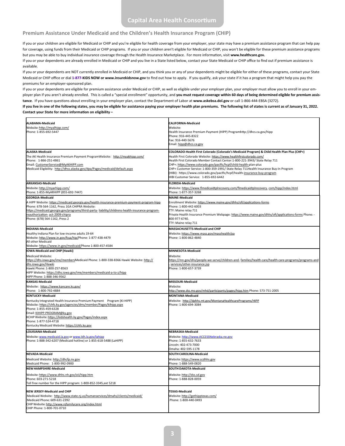### **Capital Area Health Consortium**

#### **Premium Assistance Under Medicaid and the Children's Health Insurance Program (CHIP)**

If you or your children are eligible for Medicaid or CHIP and you're eligible for health coverage from your employer, your state may have a premium assistance program that can help pay for coverage, using funds from their Medicaid or CHIP programs. If you or your children aren't eligible for Medicaid or CHIP, you won't be eligible for these premium assistance programs but you may be able to buy individual insurance coverage through the Health Insurance Marketplace. For more information, visit www.healthcare.gov. If you or your dependents are already enrolled in Medicaid or CHIP and you live in a State listed below, contact your State Medicaid or CHIP office to find out if premium assistance is available.

If you or your dependents are NOT currently enrolled in Medicaid or CHIP, and you think you or any of your dependents might be eligible for either of these programs, contact your State Medicaid or CHIP office or dial **1-877-KIDS NOW or www.insurekidsnow.gov** to find out how to apply. If you qualify, ask your state if it has a program that might help you pay the premiums for an employer‐sponsored plan.

If you or your dependents are eligible for premium assistance under Medicaid or CHIP, as well as eligible under your employer plan, your employer must allow you to enroll in your employer plan if you aren't already enrolled. This is called a "special enrollment" opportunity, and you must request coverage within 60 days of being determined eligible for premium assis**tance**. If you have quesƟons about enrolling in your employer plan, contact the Department of Labor at **www.askebsa.dol.gov** or call 1‐866‐444‐EBSA (3272).

If you live in one of the following states, you may be eligible for assistance paying your employer health plan premiums. The following list of states is current as of January 31, 2022. **Contact your State for more informaƟon on eligibility –**

| <b>ALABAMA-Medicaid</b><br>Website: http://myalhipp.com/<br>Phone: 1-855-692-5447                                                                                                                                                                                                                                                                                         | CALIFORNIA-Medicaid<br>Website:<br>Health Insurance Premium Payment (HIPP) Programhttp://dhcs.ca.gov/hipp<br>Phone: 916-445-8322<br>Fax: 916-440-5676<br>Email: hipp@dhcs.ca.gov                                                                                                                                                                                                                                                                                                                                                         |  |  |
|---------------------------------------------------------------------------------------------------------------------------------------------------------------------------------------------------------------------------------------------------------------------------------------------------------------------------------------------------------------------------|------------------------------------------------------------------------------------------------------------------------------------------------------------------------------------------------------------------------------------------------------------------------------------------------------------------------------------------------------------------------------------------------------------------------------------------------------------------------------------------------------------------------------------------|--|--|
| <b>ALASKA-Medicaid</b><br>The AK Health Insurance Premium Payment ProgramWebsite: http://myakhipp.com/<br>Phone: 1-866-251-4861<br>Email: CustomerService@MyAKHIPP.com<br>Medicaid Eligibility: http://dhss.alaska.gov/dpa/Pages/medicaid/default.aspx                                                                                                                    | (CDLORADO-Health First Colorado (Colorado's Medicaid Program) & Child Health Plan Plus (CHP+)<br>Health First Colorado Website: https://www.healthfirstcolorado.com/<br>Iealth First Colorado Member Contact Center:1-800-221-3943/ State Relay 711<br>CHP+: https://www.colorado.gov/pacific/hcpf/child-health-plan-plus<br>CHP+ Customer Service: 1-800-359-1991/ State Relay 711Health Insurance Buy-In Program<br>HIBI): https://www.colorado.gov/pacific/hcpf/health-insurance-buy-program<br>HIBI Customer Service: 1-855-692-6442 |  |  |
| <b>ARKANSAS-Medicaid</b><br>Website: http://myarhipp.com/<br>Phone: 1-855-MyARHIPP (855-692-7447)                                                                                                                                                                                                                                                                         | <b>FLORIDA-Medicaid</b><br>Website: https://www.flmedicaidtplrecovery.com/flmedicaidtplrecovery.com/hipp/index.html<br>hone: 1-877-357-3268                                                                                                                                                                                                                                                                                                                                                                                              |  |  |
| <b>GEORGIA-Medicaid</b><br>A HIPP Website: https://medicaid.georgia.gov/health-insurance-premium-payment-program-hipp<br>Phone: 678-564-1162, Press 1GA CHIPRA Website:<br>https://medicaid.georgia.gov/programs/third-party-liability/childrens-health-insurance-program-<br>reauthorization- act-2009-chipra<br>Phone: (678) 564-1162, Press 2                          | <b>MAINE-Medicaid</b><br>Enrollment Website: https://www.maine.gov/dhhs/ofi/applications-forms<br>Phone: 1-800-442-6003<br>TTY: Maine relay 711<br>Private Health Insurance Premium Webpage: https://www.maine.gov/dhhs/ofi/applications-forms Phone: -<br>800-977-6740.<br>TTY: Maine relay 711                                                                                                                                                                                                                                         |  |  |
| <b>INDIANA-Medicaid</b><br>Healthy Indiana Plan for low-income adults 19-64<br>Website: http://www.in.gov/fssa/hip/Phone: 1-877-438-4479<br>All other Medicaid<br>Website: https://www.in.gov/medicaid/Phone 1-800-457-4584                                                                                                                                               | MASSACHUSETTS-Medicaid and CHIP<br>Website: https://www.mass.gov/masshealth/pa<br>Phone: 1-800-862-4840                                                                                                                                                                                                                                                                                                                                                                                                                                  |  |  |
| <b>IOWA-Medicaid and CHIP (Hawki)</b>                                                                                                                                                                                                                                                                                                                                     | MINNESOTA-Medicaid                                                                                                                                                                                                                                                                                                                                                                                                                                                                                                                       |  |  |
| Medicaid Website:<br>https://dhs.iowa.gov/ime/membersMedicaid Phone: 1-800-338-8366 Hawki Website: http://<br>dhs.iowa.gov/Hawki<br>Hawki Phone: 1-800-257-8563<br>HIPP Website: https://dhs.iowa.gov/ime/members/medicaid-a-to-z/hipp<br>HIPP Phone: 1-888-346-9562                                                                                                      | Website:<br>https://mn.gov/dhs/people-we-serve/children-and-families/health-care/health-care-programs/programs-and<br>services/other-insurance.jsp<br>hone: 1-800-657-3739                                                                                                                                                                                                                                                                                                                                                               |  |  |
| <b>KANSAS-Medicaid</b><br>Website: https://www.kancare.ks.gov/<br>Phone: 1-800-792-4884                                                                                                                                                                                                                                                                                   | <b>MISSOURI-Medicaid</b><br>Website:<br>http://www.dss.mo.gov/mhd/participants/pages/hipp.htm Phone: 573-751-2005                                                                                                                                                                                                                                                                                                                                                                                                                        |  |  |
| <b>KENTUCKY-Medicaid</b><br>Kentucky Integrated Health Insurance Premium Payment Program (KI-HIPP)<br>Website: https://chfs.ky.gov/agencies/dms/member/Pages/kihipp.aspx<br>Phone: 1-855-459-6328<br>Email: KIHIPP.PROGRAM@ky.gov<br>KCHIP Website: https://kidshealth.ky.gov/Pages/index.aspx<br>Phone: 1-877-524-4718<br>Kentucky Medicaid Website: https://chfs.ky.gov | <b>MONTANA-Medicaid</b><br>Website: http://dphhs.mt.gov/MontanaHealthcarePrograms/HIPP<br>Phone: 1-800-694-3084                                                                                                                                                                                                                                                                                                                                                                                                                          |  |  |
| LOUISIANA-Medicaid<br>Website: www.medicaid.la.gov or www.ldh.la.gov/lahipp<br>Phone: 1-888-342-6207 (Medicaid hotline) or 1-855-618-5488 (LaHIPP)                                                                                                                                                                                                                        | NEBRASKA-Medicaid<br>Website: http://www.ACCESSNebraska.ne.gov<br>Phone: 1-855-632-7633<br>Lincoln: 402-473-7000<br>Omaha: 402-595-1178                                                                                                                                                                                                                                                                                                                                                                                                  |  |  |
| <b>NEVADA-Medicaid</b><br>Medicaid Website: http://dhcfp.nv.gov<br>Medicaid Phone: 1-800-992-0900                                                                                                                                                                                                                                                                         | SOUTH CAROLINA-Medicaid<br>Website: <u>https://www.scdhhs.gov</u><br>Phone: 1-888-549-0820                                                                                                                                                                                                                                                                                                                                                                                                                                               |  |  |
| <b>NEW HAMPSHIRE-Medicaid</b><br>Website: https://www.dhhs.nh.gov/oii/hipp.htm<br>Phone: 603-271-5218<br>Toll free number for the HIPP program: 1-800-852-3345,ext 5218                                                                                                                                                                                                   | SOUTH DAKOTA-Medicaid<br>Website: http://dss.sd.gov<br>hone: 1-888-828-0059                                                                                                                                                                                                                                                                                                                                                                                                                                                              |  |  |
| <b>NEW JERSEY-Medicaid and CHIP</b><br>Medicaid Website: http://www.state.nj.us/humanservices/dmahs/clients/medicaid/<br>Medicaid Phone: 609-631-2392<br>CHIP Website: http://www.njfamilycare.org/index.html<br>CHIP Phone: 1-800-701-0710                                                                                                                               | TEXAS-Medicaid<br>Website: http://gethipptexas.com/<br>Phone: 1-800-440-0493                                                                                                                                                                                                                                                                                                                                                                                                                                                             |  |  |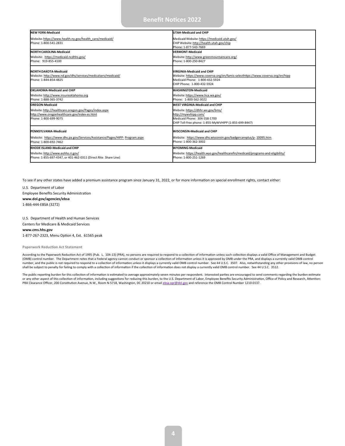| <b>NEW YORK-Medicaid</b>                                                                                                                      | <b>UTAH-Medicaid and CHIP</b>                                                                                                                                                 |  |  |
|-----------------------------------------------------------------------------------------------------------------------------------------------|-------------------------------------------------------------------------------------------------------------------------------------------------------------------------------|--|--|
| Website: https://www.health.ny.gov/health_care/medicaid/<br>Phone: 1-800-541-2831                                                             | Medicaid Website: https://medicaid.utah.gov/<br>CHIP Website: http://health.utah.gov/chip<br>Phone: 1-877-543-7669                                                            |  |  |
| <b>NORTH CAROLINA-Medicaid</b>                                                                                                                | <b>VERMONT-Medicaid</b>                                                                                                                                                       |  |  |
| Website: https://medicaid.ncdhhs.gov/<br>Phone: 919-855-4100                                                                                  | Website: http://www.greenmountaincare.org/<br>Phone: 1-800-250-8427                                                                                                           |  |  |
| <b>NORTH DAKOTA-Medicaid</b><br>Website: http://www.nd.gov/dhs/services/medicalserv/medicaid/<br>Phone: 1-844-854-4825                        | VIRGINIA-Medicaid and CHIP<br>Website: https://www.coverva.org/en/famis-selecthttps://www.coverva.org/en/hipp<br>Medicaid Phone: 1-800-432-5924<br>CHIP Phone: 1-800-432-5924 |  |  |
| OKLAHOMA-Medicaid and CHIP                                                                                                                    | <b>WASHINGTON-Medicaid</b>                                                                                                                                                    |  |  |
| Website: http://www.insureoklahoma.org<br>Phone: 1-888-365-3742                                                                               | Website: https://www.hca.wa.gov/<br>Phone: 1-800-562-3022                                                                                                                     |  |  |
| <b>OREGON-Medicaid</b>                                                                                                                        | <b>WEST VIRGINIA-Medicaid and CHIP</b>                                                                                                                                        |  |  |
| Website: http://healthcare.oregon.gov/Pages/index.aspx<br>http://www.oregonhealthcare.gov/index-es.html<br>Phone: 1-800-699-9075              | Website: https://dhhr.wv.gov/bms/<br>http://mywyhipp.com/<br>Medicaid Phone: 304-558-1700<br>CHIP Toll-free phone: 1-855-MyWVHIPP (1-855-699-8447)                            |  |  |
| PENNSYLVANIA-Medicaid                                                                                                                         | <b>WISCONSIN-Medicaid and CHIP</b>                                                                                                                                            |  |  |
| Website: https://www.dhs.pa.gov/Services/Assistance/Pages/HIPP- Program.aspx<br>Phone: 1-800-692-7462                                         | Website: https://www.dhs.wisconsin.gov/badgercareplus/p- 10095.htm<br>Phone: 1-800-362-3002                                                                                   |  |  |
| <b>RHODE ISLAND-Medicaid and CHIP</b><br>Website: http://www.eohhs.ri.gov/<br>Phone: 1-855-697-4347, or 401-462-0311 (Direct Rite Share Line) | <b>WYOMING-Medicaid</b><br>Website: https://health.wyo.gov/healthcarefin/medicaid/programs-and-eligibility/<br>Phone: 1-800-251-1269                                          |  |  |

To see if any other states have added a premium assistance program since January 31, 2022, or for more information on special enrollment rights, contact either:

U.S. Department of Labor

Employee Benefits Security Administration **www.dol.gov/agencies/ebsa**  1‐866‐444‐EBSA (3272)

U.S. Department of Health and Human Services

Centers for Medicare & Medicaid Services

**www.cms.hhs.gov**

1-877-267-2323, Menu Option 4, Ext. 61565 peak

#### **Paperwork ReducƟon Act Statement**

According to the Paperwork Reduction Act of 1995 (Pub. L. 104-13) (PRA), no persons are required to respond to a collection of information unless such collection displays a valid Office of Management and Budget (OMB) control number. The Department notes that a Federal agency cannot conduct or sponsor a collection of information unless it is approved by OMB under the PRA, and displays a currently valid OMB control number, and the public is not required to respond to a collection of information unless it displays a currently valid OMB control number. See 44 U.S.C. 3507. Also, notwithstanding any other provisions of law, no person shall be subject to penalty for failing to comply with a collection of information if the collection of information does not display a currently valid OMB control number. See 44 U.S.C. 3512.

The public reporting burden for this collection of information is estimated to average approximately seven minutes per respondent. Interested parties are encouraged to send comments regarding the burden estimate or any other aspect of this collection of information, including suggestions for reducing this burden, to the U.S. Department of Labor, Employee Benefits Security Administration, Office of Policy and Research, Attention: PRA Clearance Officer, 200 Constitution Avenue, N.W., Room N-5718, Washington, DC 20210 or email ebsa.opr@dol.gov and reference the OMB Control Number 1210-0137.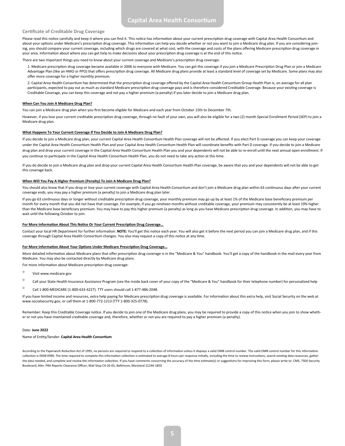### **Capital Area Health ConsorƟum**

#### **CerƟficate of Creditable Drug Coverage**

Please read this notice carefully and keep it where you can find it. This notice has information about your current prescription drug coverage with Capital Area Health Consortium and about your options under Medicare's prescription drug coverage. This information can help you decide whether or not you want to join a Medicare drug plan. If you are considering joining, you should compare your current coverage, including which drugs are covered at what cost, with the coverage and costs of the plans offering Medicare prescription drug coverage in your area. Information about where you can get help to make decisions about your prescription drug coverage is at the end of this notice.

There are two important things you need to know about your current coverage and Medicare's prescription drug coverage:

1. Medicare prescription drug coverage became available in 2006 to everyone with Medicare. You can get this coverage if you join a Medicare Prescription Drug Plan or join a Medicare Advantage Plan (like an HMO or PPO) that offers prescription drug coverage. All Medicare drug plans provide at least a standard level of coverage set by Medicare. Some plans may also offer more coverage for a higher monthly premium.

2. Capital Area Health Consortium has determined that the prescription drug coverage offered by the Capital Area Health Consortium Group Health Plan is, on average for all plan participants, expected to pay out as much as standard Medicare prescription drug coverage pays and is therefore considered Creditable Coverage. Because your existing coverage is Creditable Coverage, you can keep this coverage and not pay a higher premium (a penalty) if you later decide to join a Medicare drug plan.

#### **When Can You Join A Medicare Drug Plan?**

You can join a Medicare drug plan when you first become eligible for Medicare and each year from October 15th to December 7th.

However, if you lose your current creditable prescription drug coverage, through no fault of your own, you will also be eligible for a two (2) month Special Enrollment Period (SEP) to join a Medicare drug plan.

#### **What Happens To Your Current Coverage If You Decide to Join A Medicare Drug Plan?**

If you decide to join a Medicare drug plan, your current Capital Area Health Consortium Health Plan coverage will not be affected. If you elect Part D coverage you can keep your coverage under the Capital Area Health Consortium Health Plan and your Capital Area Health Consortium Health Plan will coordinate benefits with Part D coverage. If you decide to join a Medicare drug plan and drop your current coverage in the Capital Area Health Consortium Health Plan you and your dependents will not be able to re-enroll until the next annual open enrollment. If you continue to participate in the Capital Area Health Consortium Health Plan, you do not need to take any action at this time.

If you do decide to join a Medicare drug plan and drop your current Capital Area Health Consortium Health Plan coverage, be aware that you and your dependents will not be able to get this coverage back.

#### **When Will You Pay A Higher Premium (Penalty) To Join A Medicare Drug Plan?**

You should also know that if you drop or lose your current coverage with Capital Area Health Consortium and don't join a Medicare drug plan within 63 continuous days after your current coverage ends, you may pay a higher premium (a penalty) to join a Medicare drug plan later.

If you go 63 continuous days or longer without creditable prescription drug coverage, your monthly premium may go up by at least 1% of the Medicare base beneficiary premium per month for every month that you did not have that coverage. For example, if you go nineteen months without creditable coverage, your premium may consistently be at least 19% higher than the Medicare base beneficiary premium. You may have to pay this higher premium (a penalty) as long as you have Medicare prescription drug coverage. In addition, you may have to wait until the following October to join.

#### **For More InformaƟon About This NoƟce Or Your Current PrescripƟon Drug Coverage…**

Contact your local HR Department for further information. NOTE: You'll get this notice each year. You will also get it before the next period you can join a Medicare drug plan, and if this coverage through Capital Area Health Consortium changes. You also may request a copy of this notice at any time.

#### **For More InformaƟon About Your OpƟons Under Medicare PrescripƟon Drug Coverage…**

More detailed information about Medicare plans that offer prescription drug coverage is in the "Medicare & You" handbook. You'll get a copy of the handbook in the mail every year from Medicare. You may also be contacted directly by Medicare drug plans.

For more information about Medicare prescription drug coverage:

- Visit www.medicare.gov
- <sup>O</sup> Call your State Health Insurance Assistance Program (see the inside back cover of your copy of the "Medicare & You" handbook for their telephone number) for personalized help
- Call 1‐800‐MEDICARE (1‐800‐633‐4227). TTY users should call 1‐877‐486‐2048.

If you have limited income and resources, extra help paying for Medicare prescription drug coverage is available. For information about this extra help, visit Social Security on the web at www.socialsecurity.gov, or call them at 1‐800‐772‐1213 (TTY 1‐800‐325‐0778).

Remember: Keep this Creditable Coverage notice. If you decide to join one of the Medicare drug plans, you may be required to provide a copy of this notice when you join to show whether or not you have maintained creditable coverage and, therefore, whether or not you are required to pay a higher premium (a penalty).

#### Date: **June 2022**

#### Name of EnƟty/Sender: **Capital Area Health ConsorƟum**

According to the Paperwork Reduction Act of 1995, no persons are required to respond to a collection of information unless it displays a valid OMB control number. The valid OMB control number for this information collection is 0938-0990. The time required to complete this information collection is estimated to average 8 hours per response initially, including the time to review instructions, search existing data resources, gather the data needed, and complete and review the information collection. If you have comments concerning the accuracy of the time estimate(s) or suggestions for improving this form, please write to: CMS, 7500 Security Boulevard, Attn: PRA Reports Clearance Officer, Mail Stop C4-26-05, Baltimore, Maryland 21244-1850.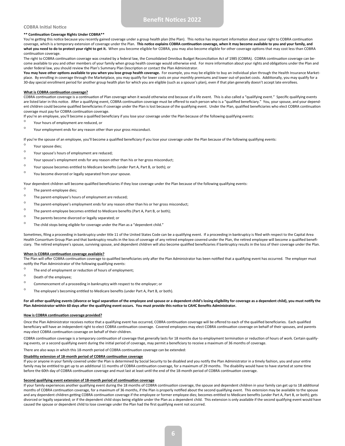#### **COBRA IniƟal NoƟce**

#### **\*\* ConƟnuaƟon Coverage Rights Under COBRA\*\***

You're getting this notice because you recently gained coverage under a group health plan (the Plan). This notice has important information about your right to COBRA continuation coverage, which is a temporary extension of coverage under the Plan. This notice explains COBRA continuation coverage, when it may become available to you and your family, and what you need to do to protect your right to get it. When you become eligible for COBRA, you may also become eligible for other coverage options that may cost less than COBRA continuation coverage.

The right to COBRA continuation coverage was created by a federal law, the Consolidated Omnibus Budget Reconciliation Act of 1985 (COBRA). COBRA continuation coverage can become available to you and other members of your family when group health coverage would otherwise end. For more information about your rights and obligations under the Plan and under federal law, you should review the Plan's Summary Plan Description or contact the Plan Administrator.

You may have other options available to you when you lose group health coverage. For example, you may be eligible to buy an individual plan through the Health Insurance Marketplace. By enrolling in coverage through the Marketplace, you may qualify for lower costs on your monthly premiums and lower out-of-pocket costs. Additionally, you may qualify for a 30‐day special enrollment period for another group health plan for which you are eligible (such as a spouse's plan), even if that plan generally doesn't accept late enrollees.

#### **What is COBRA continuation coverage?**

COBRA continuation coverage is a continuation of Plan coverage when it would otherwise end because of a life event. This is also called a "qualifying event." Specific qualifying events are listed later in this notice. After a qualifying event, COBRA continuation coverage must be offered to each person who is a "qualified beneficiary." You, your spouse, and your dependent children could become qualified beneficiaries if coverage under the Plan is lost because of the qualifying event. Under the Plan, qualified beneficiaries who elect COBRA continuation coverage must pay for COBRA continuation coverage.

If you're an employee, you'll become a qualified beneficiary if you lose your coverage under the Plan because of the following qualifying events:

- Your hours of employment are reduced, or
- Your employment ends for any reason other than your gross misconduct.

If you're the spouse of an employee, you'll become a qualified beneficiary if you lose your coverage under the Plan because of the following qualifying events:

- Your spouse dies;
- Your spouse's hours of employment are reduced;
- Your spouse's employment ends for any reason other than his or her gross misconduct;
- <sup>o</sup> Your spouse becomes entitled to Medicare benefits (under Part A, Part B, or both); or
- <sup>o</sup> You become divorced or legally separated from your spouse.

Your dependent children will become qualified beneficiaries if they lose coverage under the Plan because of the following qualifying events:

- <sup>o</sup> The parent-employee dies;
- The parent‐employee's hours of employment are reduced;
- <sup>o</sup> The parent-employee's employment ends for any reason other than his or her gross misconduct;
- <sup>o</sup> The parent-employee becomes entitled to Medicare benefits (Part A, Part B, or both);
- <sup>o</sup> The parents become divorced or legally separated; or
- $\degree$  The child stops being eligible for coverage under the Plan as a "dependent child."

Sometimes, filing a proceeding in bankruptcy under title 11 of the United States Code can be a qualifying event. If a proceeding in bankruptcy is filed with respect to the Capital Area Health Consortium Group Plan and that bankruptcy results in the loss of coverage of any retired employee covered under the Plan, the retired employee will become a qualified beneficiary. The retired employee's spouse, surviving spouse, and dependent children will also become qualified beneficiaries if bankruptcy results in the loss of their coverage under the Plan.

#### **When is COBRA continuation coverage available?**

The Plan will offer COBRA continuation coverage to qualified beneficiaries only after the Plan Administrator has been notified that a qualifying event has occurred. The employer must notify the Plan Administrator of the following qualifying events:

- <sup>o</sup> The end of employment or reduction of hours of employment;
- $^{\circ}$  Death of the employee:
- Commencement of a proceeding in bankruptcy with respect to the employer; or
- <sup>o</sup> The employee's becoming entitled to Medicare benefits (under Part A, Part B, or both).

For all other qualifying events (divorce or legal separation of the employee and spouse or a dependent child's losing eligibility for coverage as a dependent child), you must notify the Plan Administrator within 60 days after the qualifying event occurs. You must provide this notice to CAHC Benefits Administrator.

#### **How is COBRA continuation coverage provided?**

Once the Plan Administrator receives notice that a qualifying event has occurred, COBRA continuation coverage will be offered to each of the qualified beneficiaries. Each qualified beneficiary will have an independent right to elect COBRA continuation coverage. Covered employees may elect COBRA continuation coverage on behalf of their spouses, and parents may elect COBRA continuation coverage on behalf of their children.

COBRA continuation coverage is a temporary continuation of coverage that generally lasts for 18 months due to employment termination or reduction of hours of work. Certain qualifying events, or a second qualifying event during the initial period of coverage, may permit a beneficiary to receive a maximum of 36 months of coverage.

There are also ways in which this 18-month period of COBRA continuation coverage can be extended:

#### **<u>Disability extension of 18-month period of COBRA continuation coverage</u>**

If you or anyone in your family covered under the Plan is determined by Social Security to be disabled and you notify the Plan Administrator in a timely fashion, you and your entire family may be entitled to get up to an additional 11 months of COBRA continuation coverage, for a maximum of 29 months. The disability would have to have started at some time before the 60th day of COBRA continuation coverage and must last at least until the end of the 18-month period of COBRA continuation coverage.

#### **Second qualifying event extension of 18-month period of conƟnuaƟon coverage**

If your family experiences another qualifying event during the 18 months of COBRA continuation coverage, the spouse and dependent children in your family can get up to 18 additional months of COBRA continuation coverage, for a maximum of 36 months, if the Plan is properly notified about the second qualifying event. This extension may be available to the spouse and any dependent children getting COBRA continuation coverage if the employee or former employee dies; becomes entitled to Medicare benefits (under Part A, Part B, or both); gets divorced or legally separated; or if the dependent child stops being eligible under the Plan as a dependent child. This extension is only available if the second qualifying event would have caused the spouse or dependent child to lose coverage under the Plan had the first qualifying event not occurred.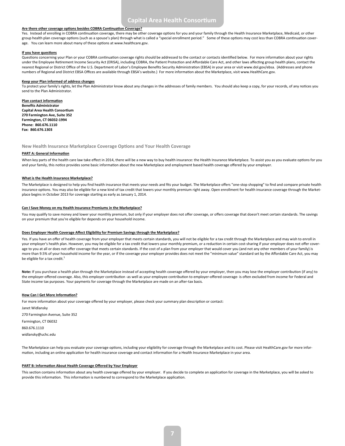#### **Are there other coverage opƟons besides COBRA ConƟnuaƟon Coverage?**

Yes. Instead of enrolling in COBRA continuation coverage, there may be other coverage options for you and your family through the Health Insurance Marketplace, Medicaid, or other group health plan coverage options (such as a spouse's plan) through what is called a "special enrollment period." Some of these options may cost less than COBRA continuation coverage. You can learn more about many of these options at www.healthcare.gov.

#### **If** you have questions

Questions concerning your Plan or your COBRA continuation coverage rights should be addressed to the contact or contacts identified below. For more information about your rights under the Employee Retirement Income Security Act (ERISA), including COBRA, the Patient Protection and Affordable Care Act, and other laws affecting group health plans, contact the nearest Regional or District Office of the U.S. Department of Labor's Employee Benefits Security Administration (EBSA) in your area or visit www.dol.gov/ebsa. (Addresses and phone numbers of Regional and District EBSA Offices are available through EBSA's website.) For more information about the Marketplace, visit www.HealthCare.gov.

#### **Keep your Plan informed of address changes**

To protect your family's rights, let the Plan Administrator know about any changes in the addresses of family members.You should also keep a copy, for your records, of any noƟces you send to the Plan Administrator.

**Plan contact informaƟon Benefits Administrator Capital Area Health ConsorƟum 270 Farmington Ave, Suite 352 Farmington, CT 06032-1994 Phone: 860.676.1110 Fax: 860.676.1303**

**New Health Insurance Marketplace Coverage OpƟons and Your Health Coverage**

#### **PART A:** General **Information**

When key parts of the health care law take effect in 2014, there will be a new way to buy health insurance: the Health Insurance Marketplace. To assist you as you evaluate options for you and your family, this notice provides some basic information about the new Marketplace and employment based health coverage offered by your employer.

#### **What is the Health Insurance Marketplace?**

The Marketplace is designed to help you find health insurance that meets your needs and fits your budget. The Marketplace offers "one-stop shopping" to find and compare private health insurance options. You may also be eligible for a new kind of tax credit that lowers your monthly premium right away. Open enrollment for health insurance coverage through the Marketplace begins in October 2013 for coverage starting as early as January 1, 2014.

#### **Can I Save Money on my Health Insurance Premiums in the Marketplace?**

You may qualify to save money and lower your monthly premium, but only if your employer does not offer coverage, or offers coverage that doesn't meet certain standards. The savings on your premium that you're eligible for depends on your household income.

#### **Does Employer Health Coverage Affect Eligibility for Premium Savings through the Marketplace?**

Yes. If you have an offer of health coverage from your employer that meets certain standards, you will not be eligible for a tax credit through the Marketplace and may wish to enroll in your employer's health plan. However, you may be eligible for a tax credit that lowers your monthly premium, or a reduction in certain cost-sharing if your employer does not offer coverage to you at all or does not offer coverage that meets certain standards. If the cost of a plan from your employer that would cover you (and not any other members of your family) is more than 9.5% of your household income for the year, or if the coverage your employer provides does not meet the "minimum value" standard set by the Affordable Care Act, you may be eligible for a tax credit.<sup>1</sup>

Note: If you purchase a health plan through the Marketplace instead of accepting health coverage offered by your employer, then you may lose the employer contribution (if any) to the employer-offered coverage. Also, this employer contribution -as well as your employee contribution to employer-offered coverage- is often excluded from income for Federal and State income tax purposes. Your payments for coverage through the Marketplace are made on an after-tax basis.

#### **How Can I Get More Information?**

For more information about your coverage offered by your employer, please check your summary plan description or contact:

Janet Widlansky 270 Farmington Avenue, Suite 352 Farmington, CT 06032 860.676.1110 widlansky@uchc.edu

The Marketplace can help you evaluate your coverage options, including your eligibility for coverage through the Marketplace and its cost. Please visit HealthCare.gov for more information, including an online application for health insurance coverage and contact information for a Health Insurance Marketplace in your area.

#### **PART B: Information About Health Coverage Offered by Your Employer**

This section contains information about any health coverage offered by your employer. If you decide to complete an application for coverage in the Marketplace, you will be asked to provide this information. This information is numbered to correspond to the Marketplace application.